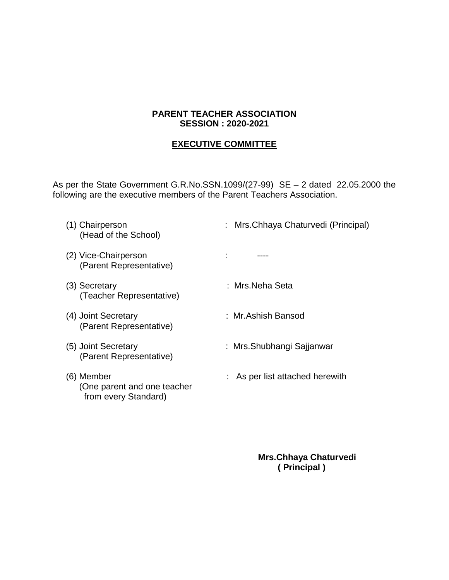## **PARENT TEACHER ASSOCIATION SESSION : 2020-2021**

## **EXECUTIVE COMMITTEE**

As per the State Government G.R.No.SSN.1099/(27-99) SE – 2 dated 22.05.2000 the following are the executive members of the Parent Teachers Association.

| (2) Vice-Chairperson<br>(Parent Representative)<br>:Mrs.Neha Seta<br>(3) Secretary<br>(Teacher Representative)<br>: Mr.Ashish Bansod<br>(4) Joint Secretary<br>(Parent Representative)<br>(5) Joint Secretary<br>: Mrs.Shubhangi Sajjanwar<br>(Parent Representative)<br>(6) Member<br>: As per list attached herewith<br>(One parent and one teacher<br>from every Standard) | (1) Chairperson<br>(Head of the School) | : Mrs. Chhaya Chaturvedi (Principal) |
|-------------------------------------------------------------------------------------------------------------------------------------------------------------------------------------------------------------------------------------------------------------------------------------------------------------------------------------------------------------------------------|-----------------------------------------|--------------------------------------|
|                                                                                                                                                                                                                                                                                                                                                                               |                                         |                                      |
|                                                                                                                                                                                                                                                                                                                                                                               |                                         |                                      |
|                                                                                                                                                                                                                                                                                                                                                                               |                                         |                                      |
|                                                                                                                                                                                                                                                                                                                                                                               |                                         |                                      |
|                                                                                                                                                                                                                                                                                                                                                                               |                                         |                                      |

 **Mrs.Chhaya Chaturvedi ( Principal )**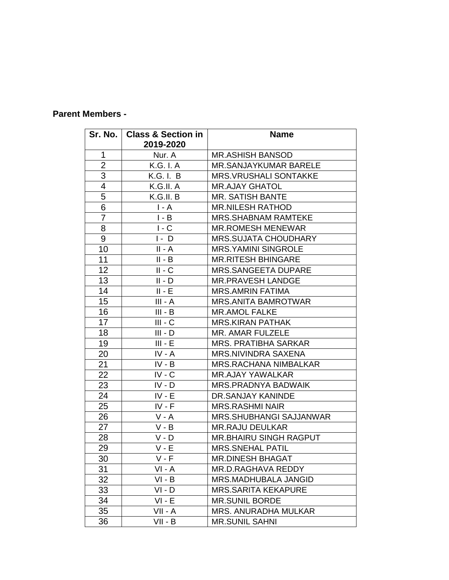## **Parent Members -**

|                  | Sr. No.   Class & Section in<br>2019-2020 | <b>Name</b>                    |
|------------------|-------------------------------------------|--------------------------------|
| $\mathbf{1}$     | Nur. A                                    | <b>MR.ASHISH BANSOD</b>        |
| $\overline{2}$   | K.G. I. A                                 | <b>MR.SANJAYKUMAR BARELE</b>   |
| 3                | K.G. I. B                                 | <b>MRS.VRUSHALI SONTAKKE</b>   |
| $\overline{4}$   | K.G.II. A                                 | <b>MR.AJAY GHATOL</b>          |
| 5                | K.G.II. B                                 | <b>MR. SATISH BANTE</b>        |
| 6                | $I - A$                                   | <b>MR.NILESH RATHOD</b>        |
| $\overline{7}$   | $I - B$                                   | <b>MRS.SHABNAM RAMTEKE</b>     |
| 8                | $I - C$                                   | <b>MR.ROMESH MENEWAR</b>       |
| $\boldsymbol{9}$ | $I - D$                                   | <b>MRS.SUJATA CHOUDHARY</b>    |
| 10               | $II - A$                                  | <b>MRS.YAMINI SINGROLE</b>     |
| 11               | $II - B$                                  | <b>MR.RITESH BHINGARE</b>      |
| 12               | $II - C$                                  | <b>MRS.SANGEETA DUPARE</b>     |
| 13               | II - D                                    | <b>MR.PRAVESH LANDGE</b>       |
| 14               | $II - E$                                  | <b>MRS.AMRIN FATIMA</b>        |
| 15               | $III - A$                                 | <b>MRS.ANITA BAMROTWAR</b>     |
| 16               | $III - B$                                 | <b>MR.AMOL FALKE</b>           |
| 17               | $III - C$                                 | <b>MRS.KIRAN PATHAK</b>        |
| 18               | $III - D$                                 | MR. AMAR FULZELE               |
| 19               | $III - E$                                 | <b>MRS. PRATIBHA SARKAR</b>    |
| 20               | IV - A                                    | <b>MRS.NIVINDRA SAXENA</b>     |
| 21               | IV - B                                    | <b>MRS.RACHANA NIMBALKAR</b>   |
| 22               | $IV - C$                                  | <b>MR.AJAY YAWALKAR</b>        |
| 23               | $IV - D$                                  | <b>MRS.PRADNYA BADWAIK</b>     |
| 24               | $IV - E$                                  | DR.SANJAY KANINDE              |
| 25               | $IV - F$                                  | <b>MRS.RASHMI NAIR</b>         |
| 26               | $V - A$                                   | <b>MRS.SHUBHANGI SAJJANWAR</b> |
| 27               | $V - B$                                   | <b>MR.RAJU DEULKAR</b>         |
| 28               | V - D                                     | <b>MR.BHAIRU SINGH RAGPUT</b>  |
| 29               | $V - E$                                   | <b>MRS.SNEHAL PATIL</b>        |
| 30               | $V - F$                                   | MR.DINESH BHAGAT               |
| 31               | VI - A                                    | MR.D.RAGHAVA REDDY             |
| 32               | $VI - B$                                  | <b>MRS.MADHUBALA JANGID</b>    |
| 33               | $VI - D$                                  | <b>MRS.SARITA KEKAPURE</b>     |
| 34               | $VI - E$                                  | <b>MR.SUNIL BORDE</b>          |
| 35               | $VII - A$                                 | <b>MRS. ANURADHA MULKAR</b>    |
| 36               | $VII - B$                                 | <b>MR.SUNIL SAHNI</b>          |